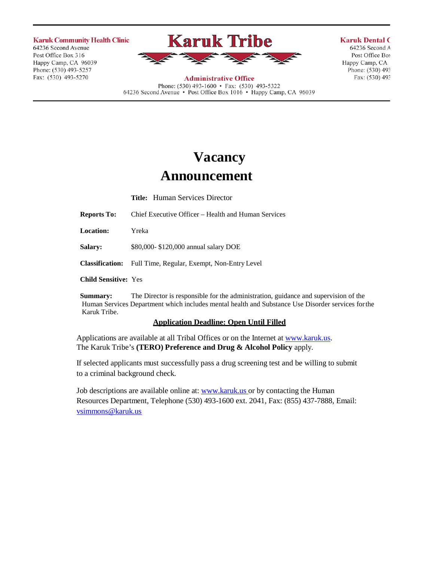**Karuk Community Health Clinic** 

64236 Second Avenue Post Office Box 316 Happy Camp, CA 96039 Phone: (530) 493-5257 Fax: (530) 493-5270



**Administrative Office** Phone: (530) 493-1600 • Fax: (530) 493-5322 64236 Second Avenue • Post Office Box 1016 • Happy Camp, CA 96039 **Karuk Dental C** 64236 Second A

Post Office Boy Happy Camp, CA Phone: (530) 493 Fax: (530) 493

# **Vacancy**

## **Announcement**

**Title:** Human Services Director

**Reports To:** Chief Executive Officer – Health and Human Services

**Location:** Yreka

**Salary:** \$80,000- \$120,000 annual salary DOE

**Classification:** Full Time, Regular, Exempt, Non-Entry Level

**Child Sensitive:** Yes

**Summary:** The Director is responsible for the administration, guidance and supervision of the Human Services Department which includes mental health and Substance Use Disorder services forthe Karuk Tribe.

### **Application Deadline: Open Until Filled**

Applications are available at all Tribal Offices or on the Internet at [www.karuk.us.](http://www.karuk.us/) The Karuk Tribe's **(TERO) Preference and Drug & Alcohol Policy** apply.

If selected applicants must successfully pass a drug screening test and be willing to submit to a criminal background check.

Job descriptions are available online at: [www.karuk.us o](http://www.karuk.us/)r by contacting the Human Resources Department, Telephone (530) 493-1600 ext. 2041, Fax: (855) 437-7888, Email: [vsimmons@karuk.us](mailto:vsimmons@karuk.us)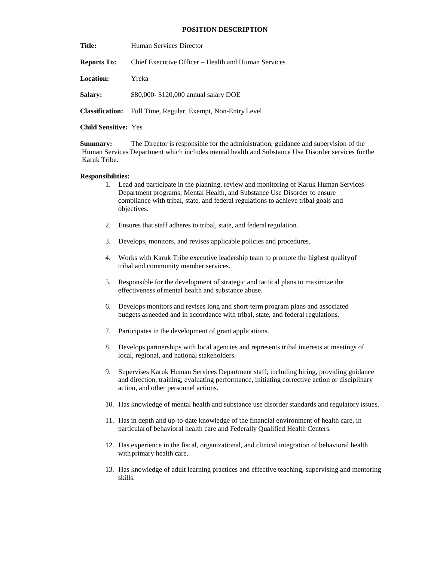#### **POSITION DESCRIPTION**

Title: Human Services Director

**Reports To:** Chief Executive Officer – Health and Human Services

**Location:** Yreka

**Salary:** \$80,000- \$120,000 annual salary DOE

**Classification:** Full Time, Regular, Exempt, Non-Entry Level

**Child Sensitive:** Yes

**Summary:** The Director is responsible for the administration, guidance and supervision of the Human Services Department which includes mental health and Substance Use Disorder services forthe Karuk Tribe.

#### **Responsibilities:**

- 1. Lead and participate in the planning, review and monitoring of Karuk Human Services Department programs; Mental Health, and Substance Use Disorder to ensure compliance with tribal, state, and federal regulations to achieve tribal goals and objectives.
- 2. Ensures that staff adheres to tribal, state, and federal regulation.
- 3. Develops, monitors, and revises applicable policies and procedures.
- 4. Works with Karuk Tribe executive leadership team to promote the highest qualityof tribal and community member services.
- 5. Responsible for the development of strategic and tactical plans to maximize the effectiveness ofmental health and substance abuse.
- 6. Develops monitors and revises long and short-term program plans and associated budgets asneeded and in accordance with tribal, state, and federal regulations.
- 7. Participates in the development of grant applications.
- 8. Develops partnerships with local agencies and represents tribal interests at meetings of local, regional, and national stakeholders.
- 9. Supervises Karuk Human Services Department staff; including hiring, providing guidance and direction, training, evaluating performance, initiating corrective action or disciplinary action, and other personnel actions.
- 10. Has knowledge of mental health and substance use disorder standards and regulatory issues.
- 11. Has in depth and up-to-date knowledge of the financial environment of health care, in particularof behavioral health care and Federally Qualified Health Centers.
- 12. Has experience in the fiscal, organizational, and clinical integration of behavioral health with primary health care.
- 13. Has knowledge of adult learning practices and effective teaching, supervising and mentoring skills.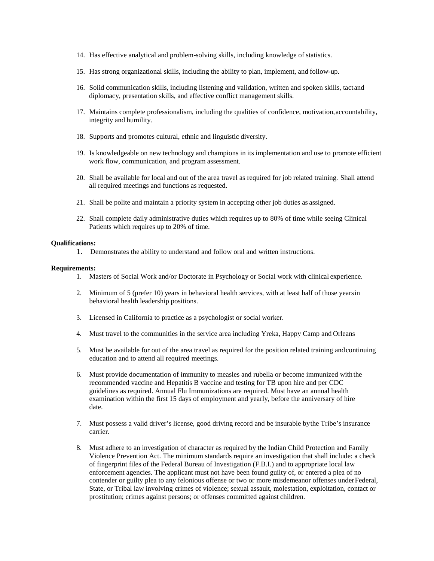- 14. Has effective analytical and problem-solving skills, including knowledge of statistics.
- 15. Has strong organizational skills, including the ability to plan, implement, and follow-up.
- 16. Solid communication skills, including listening and validation, written and spoken skills, tactand diplomacy, presentation skills, and effective conflict management skills.
- 17. Maintains complete professionalism, including the qualities of confidence, motivation,accountability, integrity and humility.
- 18. Supports and promotes cultural, ethnic and linguistic diversity.
- 19. Is knowledgeable on new technology and champions in its implementation and use to promote efficient work flow, communication, and program assessment.
- 20. Shall be available for local and out of the area travel as required for job related training. Shall attend all required meetings and functions as requested.
- 21. Shall be polite and maintain a priority system in accepting other job duties as assigned.
- 22. Shall complete daily administrative duties which requires up to 80% of time while seeing Clinical Patients which requires up to 20% of time.

#### **Qualifications:**

1. Demonstrates the ability to understand and follow oral and written instructions.

#### **Requirements:**

- 1. Masters of Social Work and/or Doctorate in Psychology or Social work with clinical experience.
- 2. Minimum of 5 (prefer 10) years in behavioral health services, with at least half of those yearsin behavioral health leadership positions.
- 3. Licensed in California to practice as a psychologist or social worker.
- 4. Must travel to the communities in the service area including Yreka, Happy Camp and Orleans
- 5. Must be available for out of the area travel as required for the position related training andcontinuing education and to attend all required meetings.
- 6. Must provide documentation of immunity to measles and rubella or become immunized withthe recommended vaccine and Hepatitis B vaccine and testing for TB upon hire and per CDC guidelines as required. Annual Flu Immunizations are required. Must have an annual health examination within the first 15 days of employment and yearly, before the anniversary of hire date.
- 7. Must possess a valid driver's license, good driving record and be insurable bythe Tribe's insurance carrier.
- 8. Must adhere to an investigation of character as required by the Indian Child Protection and Family Violence Prevention Act. The minimum standards require an investigation that shall include: a check of fingerprint files of the Federal Bureau of Investigation (F.B.I.) and to appropriate local law enforcement agencies. The applicant must not have been found guilty of, or entered a plea of no contender or guilty plea to any felonious offense or two or more misdemeanor offenses underFederal, State, or Tribal law involving crimes of violence; sexual assault, molestation, exploitation, contact or prostitution; crimes against persons; or offenses committed against children.